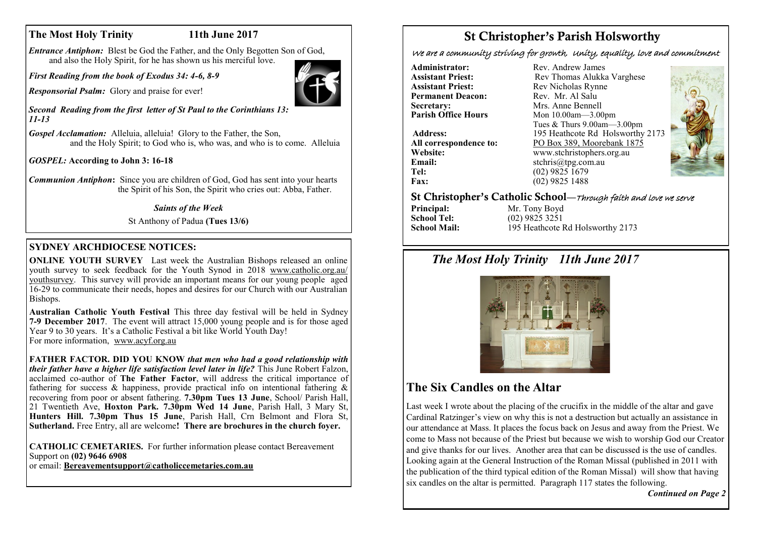# **The Most Holy Trinity 11th June 2017**

*Entrance Antiphon:* Blest be God the Father, and the Only Begotten Son of God, and also the Holy Spirit, for he has shown us his merciful love.

*First Reading from the book of Exodus 34: 4-6, 8-9*

*Responsorial Psalm:* Glory and praise for ever!

*Second Reading from the first letter of St Paul to the Corinthians 13: 11-13*

*Gospel Acclamation:* Alleluia, alleluia! Glory to the Father, the Son, and the Holy Spirit; to God who is, who was, and who is to come. Alleluia

*GOSPEL:* **According to John 3: 16-18**

*Communion Antiphon***:** Since you are children of God, God has sent into your hearts the Spirit of his Son, the Spirit who cries out: Abba, Father.

#### *Saints of the Week*

St Anthony of Padua **(Tues 13/6)** 

### **SYDNEY ARCHDIOCESE NOTICES:**

**ONLINE YOUTH SURVEY** Last week the Australian Bishops released an online youth survey to seek feedback for the Youth Synod in 2018 [www.catholic.org.au/](http://www.catholic.org.au/youthsurvey) [youthsurvey.](http://www.catholic.org.au/youthsurvey) This survey will provide an important means for our young people aged 16-29 to communicate their needs, hopes and desires for our Church with our Australian Bishops.

**Australian Catholic Youth Festival** This three day festival will be held in Sydney **7-9 December 2017**. The event will attract 15,000 young people and is for those aged Year 9 to 30 years. It's a Catholic Festival a bit like World Youth Day! For more information, [www.acyf.org.au](http://www.acyf.org.au)

**FATHER FACTOR. DID YOU KNOW** *that men who had a good relationship with their father have a higher life satisfaction level later in life?* This June Robert Falzon, acclaimed co-author of **The Father Factor**, will address the critical importance of fathering for success  $\&$  happiness, provide practical info on intentional fathering  $\&$ recovering from poor or absent fathering. **7.30pm Tues 13 June**, School/ Parish Hall, 21 Twentieth Ave, **Hoxton Park. 7.30pm Wed 14 June**, Parish Hall, 3 Mary St, **Hunters Hill. 7.30pm Thus 15 June**, Parish Hall, Crn Belmont and Flora St, **Sutherland.** Free Entry, all are welcome**! There are brochures in the church foyer.**

**CATHOLIC CEMETARIES.** For further information please contact Bereavement Support on **(02) 9646 6908**

or email: **[Bereavementsupport@catholiccemetaries.com.au](mailto:Bereavementsupport@catholiccemetaries.com.au)**

# St Christopher's Parish Holsworthy

We are a community striving for growth, Unity, equality, love and commitment

**Administrator:** Rev. Andrew James<br> **Assistant Priest:** Rev. Thomas Alukka **Permanent Deacon:**<br>Secretary: **Secretary:** Mrs. Anne Bennell<br> **Parish Office Hours** Mon 10.00am - 3.00

**Email:** stchris@tpg.com.au<br> **Tel:** (02) 9825 1679 **Fax:** (02) 9825 1488

**Assistant Priest: Rev Thomas Alukka Varghese**<br>**Assistant Priest: Rev Nicholas Rynne** Rev Nicholas Rynne<br>Rev Mr Al Salu **Parish Office Hours** Mon 10.00am—3.00pm Tues & Thurs 9.00am—3.00pm **Address:** 195 Heathcote Rd Holsworthy 2173 **All correspondence to:** PO Box 389, Moorebank 1875<br>Website: www.stchristophers.org.au **Website:** www.stchristophers.org.au<br> **Email:** stchris@tng.com au **Tel:** (02) 9825 1679



### St Christopher's Catholic School—Through faith and love we serve

**Principal:** Mr. Tony Boyd<br> **School Tel:** (02) 9825 3251 **School Tel:** (02) 9825 3251<br>**School Mail:** 195 Heathcote I 195 Heathcote Rd Holsworthy 2173

# *The Most Holy Trinity 11th June 2017*



# **The Six Candles on the Altar**

Last week I wrote about the placing of the crucifix in the middle of the altar and gave Cardinal Ratzinger's view on why this is not a destruction but actually an assistance in our attendance at Mass. It places the focus back on Jesus and away from the Priest. We come to Mass not because of the Priest but because we wish to worship God our Creator and give thanks for our lives. Another area that can be discussed is the use of candles. Looking again at the General Instruction of the Roman Missal (published in 2011 with the publication of the third typical edition of the Roman Missal) will show that having six candles on the altar is permitted. Paragraph 117 states the following.

*Continued on Page 2*